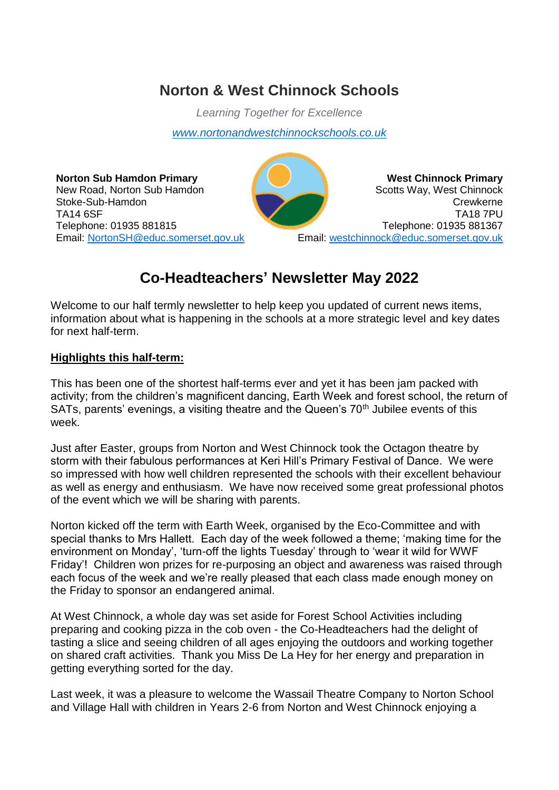# **Norton & West Chinnock Schools**

*Learning Together for Excellence*

*[www.nortonandwestchinnockschools.co.uk](http://www.nortonandwestchinnockschools.co.uk/)*

**Norton Sub Hamdon Primary** New Road, Norton Sub Hamdon Stoke-Sub-Hamdon TA14 6SF Telephone: 01935 881815 Email: [NortonSH@educ.somerset.gov.uk](mailto:NortonSH@educ.somerset.gov.uk)

**West Chinnock Primary** Scotts Way, West Chinnock Crewkerne TA18 7PU Telephone: 01935 881367 Email: [westchinnock@educ.somerset.gov.uk](mailto:westchinnock@educ.somerset.gov.uk)

# **Co-Headteachers' Newsletter May 2022**

Welcome to our half termly newsletter to help keep you updated of current news items, information about what is happening in the schools at a more strategic level and key dates for next half-term.

# **Highlights this half-term:**

This has been one of the shortest half-terms ever and yet it has been jam packed with activity; from the children's magnificent dancing, Earth Week and forest school, the return of SATs, parents' evenings, a visiting theatre and the Queen's  $70<sup>th</sup>$  Jubilee events of this week.

Just after Easter, groups from Norton and West Chinnock took the Octagon theatre by storm with their fabulous performances at Keri Hill's Primary Festival of Dance. We were so impressed with how well children represented the schools with their excellent behaviour as well as energy and enthusiasm. We have now received some great professional photos of the event which we will be sharing with parents.

Norton kicked off the term with Earth Week, organised by the Eco-Committee and with special thanks to Mrs Hallett. Each day of the week followed a theme; 'making time for the environment on Monday', 'turn-off the lights Tuesday' through to 'wear it wild for WWF Friday'! Children won prizes for re-purposing an object and awareness was raised through each focus of the week and we're really pleased that each class made enough money on the Friday to sponsor an endangered animal.

At West Chinnock, a whole day was set aside for Forest School Activities including preparing and cooking pizza in the cob oven - the Co-Headteachers had the delight of tasting a slice and seeing children of all ages enjoying the outdoors and working together on shared craft activities. Thank you Miss De La Hey for her energy and preparation in getting everything sorted for the day.

Last week, it was a pleasure to welcome the Wassail Theatre Company to Norton School and Village Hall with children in Years 2-6 from Norton and West Chinnock enjoying a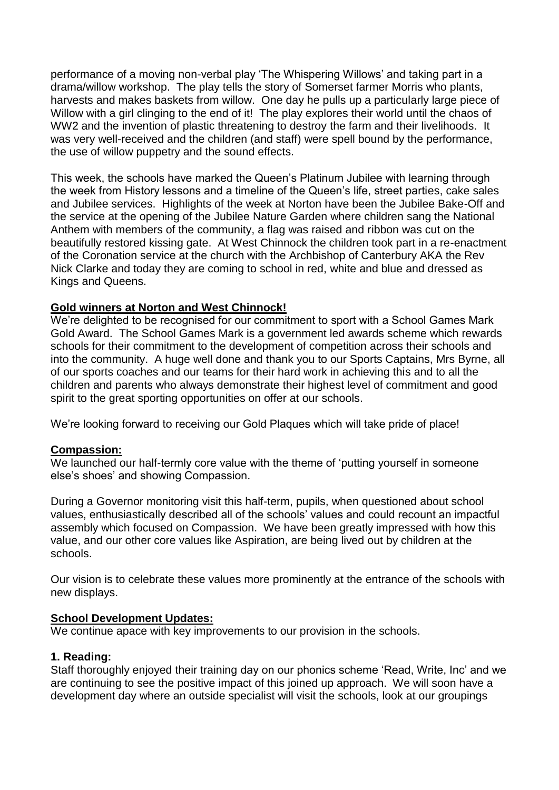performance of a moving non-verbal play 'The Whispering Willows' and taking part in a drama/willow workshop. The play tells the story of Somerset farmer Morris who plants, harvests and makes baskets from willow. One day he pulls up a particularly large piece of Willow with a girl clinging to the end of it! The play explores their world until the chaos of WW2 and the invention of plastic threatening to destroy the farm and their livelihoods. It was very well-received and the children (and staff) were spell bound by the performance, the use of willow puppetry and the sound effects.

This week, the schools have marked the Queen's Platinum Jubilee with learning through the week from History lessons and a timeline of the Queen's life, street parties, cake sales and Jubilee services. Highlights of the week at Norton have been the Jubilee Bake-Off and the service at the opening of the Jubilee Nature Garden where children sang the National Anthem with members of the community, a flag was raised and ribbon was cut on the beautifully restored kissing gate. At West Chinnock the children took part in a re-enactment of the Coronation service at the church with the Archbishop of Canterbury AKA the Rev Nick Clarke and today they are coming to school in red, white and blue and dressed as Kings and Queens.

### **Gold winners at Norton and West Chinnock!**

We're delighted to be recognised for our commitment to sport with a School Games Mark Gold Award. The School Games Mark is a government led awards scheme which rewards schools for their commitment to the development of competition across their schools and into the community. A huge well done and thank you to our Sports Captains, Mrs Byrne, all of our sports coaches and our teams for their hard work in achieving this and to all the children and parents who always demonstrate their highest level of commitment and good spirit to the great sporting opportunities on offer at our schools.

We're looking forward to receiving our Gold Plaques which will take pride of place!

#### **Compassion:**

We launched our half-termly core value with the theme of 'putting yourself in someone else's shoes' and showing Compassion.

During a Governor monitoring visit this half-term, pupils, when questioned about school values, enthusiastically described all of the schools' values and could recount an impactful assembly which focused on Compassion. We have been greatly impressed with how this value, and our other core values like Aspiration, are being lived out by children at the schools.

Our vision is to celebrate these values more prominently at the entrance of the schools with new displays.

#### **School Development Updates:**

We continue apace with key improvements to our provision in the schools.

#### **1. Reading:**

Staff thoroughly enjoyed their training day on our phonics scheme 'Read, Write, Inc' and we are continuing to see the positive impact of this joined up approach. We will soon have a development day where an outside specialist will visit the schools, look at our groupings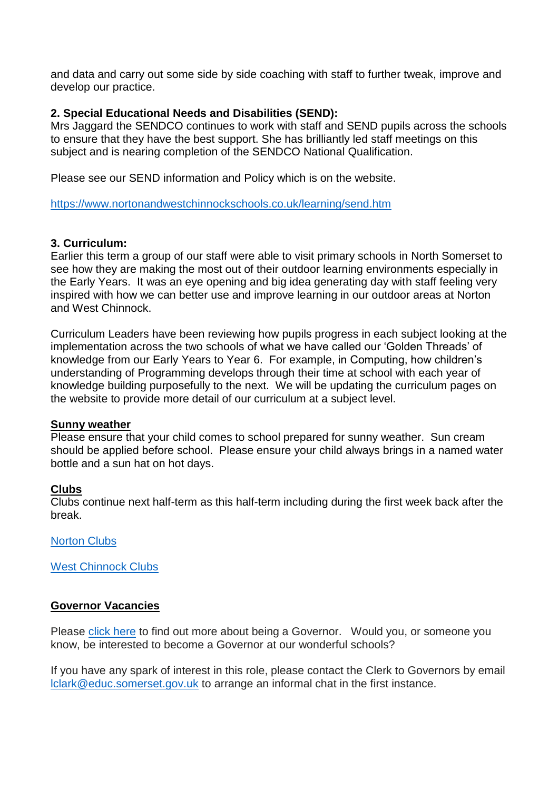and data and carry out some side by side coaching with staff to further tweak, improve and develop our practice.

### **2. Special Educational Needs and Disabilities (SEND):**

Mrs Jaggard the SENDCO continues to work with staff and SEND pupils across the schools to ensure that they have the best support. She has brilliantly led staff meetings on this subject and is nearing completion of the SENDCO National Qualification.

Please see our SEND information and Policy which is on the website.

<https://www.nortonandwestchinnockschools.co.uk/learning/send.htm>

#### **3. Curriculum:**

Earlier this term a group of our staff were able to visit primary schools in North Somerset to see how they are making the most out of their outdoor learning environments especially in the Early Years. It was an eye opening and big idea generating day with staff feeling very inspired with how we can better use and improve learning in our outdoor areas at Norton and West Chinnock.

Curriculum Leaders have been reviewing how pupils progress in each subject looking at the implementation across the two schools of what we have called our 'Golden Threads' of knowledge from our Early Years to Year 6. For example, in Computing, how children's understanding of Programming develops through their time at school with each year of knowledge building purposefully to the next. We will be updating the curriculum pages on the website to provide more detail of our curriculum at a subject level.

#### **Sunny weather**

Please ensure that your child comes to school prepared for sunny weather. Sun cream should be applied before school. Please ensure your child always brings in a named water bottle and a sun hat on hot days.

#### **Clubs**

Clubs continue next half-term as this half-term including during the first week back after the break.

[Norton Clubs](https://www.nortonandwestchinnockschools.co.uk/SiteAssets/Files/Clubs/Norton%20Clubs%20List%20Summer%202022.pdf)

[West Chinnock Clubs](https://www.nortonandwestchinnockschools.co.uk/SiteAssets/Files/Clubs/West%20Chinnock%20Clubs%20list%20Summer%202022.pdf)

#### **Governor Vacancies**

Please [click here](https://www.nortonandwestchinnockschools.co.uk/SiteAssets/Files/Vacancies/Become%20a%20Governor.pdf) to find out more about being a Governor. Would you, or someone you know, be interested to become a Governor at our wonderful schools?

If you have any spark of interest in this role, please contact the Clerk to Governors by email [lclark@educ.somerset.gov.uk](mailto:lclark@educ.somerset.gov.uk) to arrange an informal chat in the first instance.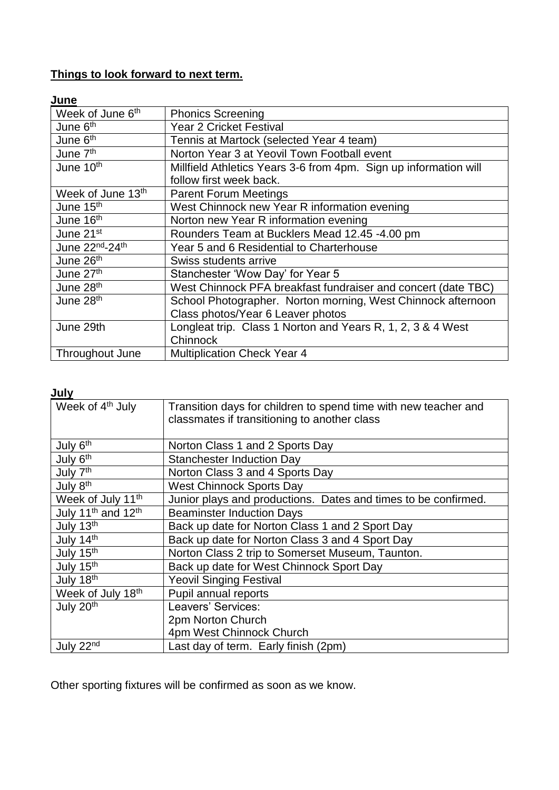# **Things to look forward to next term.**

# **June**

| Week of June 6 <sup>th</sup>  | <b>Phonics Screening</b>                                         |
|-------------------------------|------------------------------------------------------------------|
| June 6 <sup>th</sup>          | <b>Year 2 Cricket Festival</b>                                   |
| June 6th                      | Tennis at Martock (selected Year 4 team)                         |
| June 7 <sup>th</sup>          | Norton Year 3 at Yeovil Town Football event                      |
| June 10 <sup>th</sup>         | Millfield Athletics Years 3-6 from 4pm. Sign up information will |
|                               | follow first week back.                                          |
| Week of June 13 <sup>th</sup> | <b>Parent Forum Meetings</b>                                     |
| June 15 <sup>th</sup>         | West Chinnock new Year R information evening                     |
| June 16 <sup>th</sup>         | Norton new Year R information evening                            |
| June 21 <sup>st</sup>         | Rounders Team at Bucklers Mead 12.45 -4.00 pm                    |
| June 22nd-24th                | Year 5 and 6 Residential to Charterhouse                         |
| June 26th                     | Swiss students arrive                                            |
| June 27th                     | Stanchester 'Wow Day' for Year 5                                 |
| June 28 <sup>th</sup>         | West Chinnock PFA breakfast fundraiser and concert (date TBC)    |
| June 28 <sup>th</sup>         | School Photographer. Norton morning, West Chinnock afternoon     |
|                               | Class photos/Year 6 Leaver photos                                |
| June 29th                     | Longleat trip. Class 1 Norton and Years R, 1, 2, 3 & 4 West      |
|                               | Chinnock                                                         |
| Throughout June               | <b>Multiplication Check Year 4</b>                               |

# **July**

| Week of 4 <sup>th</sup> July               | Transition days for children to spend time with new teacher and<br>classmates if transitioning to another class |
|--------------------------------------------|-----------------------------------------------------------------------------------------------------------------|
| July 6 <sup>th</sup>                       | Norton Class 1 and 2 Sports Day                                                                                 |
| July 6th                                   | <b>Stanchester Induction Day</b>                                                                                |
| July 7 <sup>th</sup>                       | Norton Class 3 and 4 Sports Day                                                                                 |
| July 8 <sup>th</sup>                       | <b>West Chinnock Sports Day</b>                                                                                 |
| Week of July 11 <sup>th</sup>              | Junior plays and productions. Dates and times to be confirmed.                                                  |
| July 11 <sup>th</sup> and 12 <sup>th</sup> | <b>Beaminster Induction Days</b>                                                                                |
| July 13th                                  | Back up date for Norton Class 1 and 2 Sport Day                                                                 |
| July 14th                                  | Back up date for Norton Class 3 and 4 Sport Day                                                                 |
| July 15th                                  | Norton Class 2 trip to Somerset Museum, Taunton.                                                                |
| July 15th                                  | Back up date for West Chinnock Sport Day                                                                        |
| July 18th                                  | <b>Yeovil Singing Festival</b>                                                                                  |
| Week of July 18th                          | Pupil annual reports                                                                                            |
| July 20th                                  | Leavers' Services:                                                                                              |
|                                            | 2pm Norton Church                                                                                               |
|                                            | 4pm West Chinnock Church                                                                                        |
| July 22nd                                  | Last day of term. Early finish (2pm)                                                                            |

Other sporting fixtures will be confirmed as soon as we know.